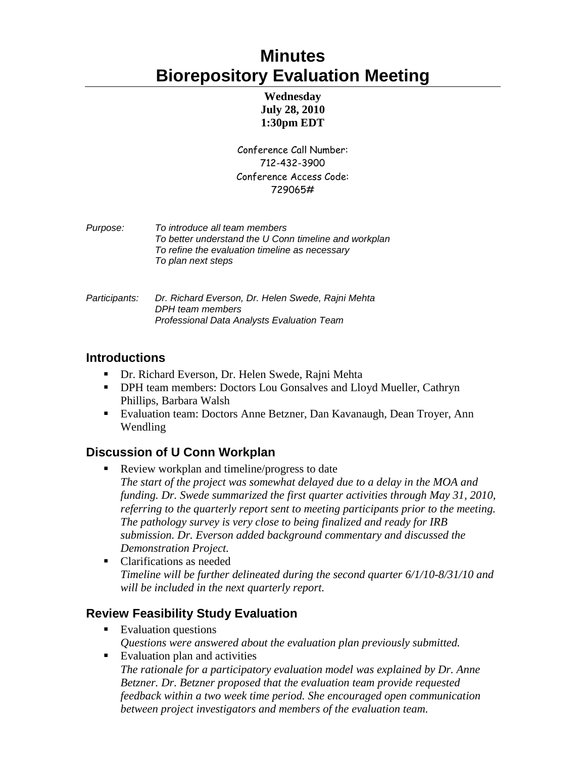# **Minutes Biorepository Evaluation Meeting**

#### **Wednesday July 28, 2010 1:30pm EDT**

Conference Call Number: 712-432-3900 Conference Access Code: 729065#

| <i>Purpose:</i> | To introduce all team members                         |
|-----------------|-------------------------------------------------------|
|                 | To better understand the U Conn timeline and workplan |
|                 | To refine the evaluation timeline as necessary        |
|                 | To plan next steps                                    |
|                 |                                                       |

*Participants: Dr. Richard Everson, Dr. Helen Swede, Rajni Mehta DPH team members Professional Data Analysts Evaluation Team* 

### **Introductions**

- Dr. Richard Everson, Dr. Helen Swede, Rajni Mehta
- **DPH team members: Doctors Lou Gonsalves and Lloyd Mueller, Cathryn** Phillips, Barbara Walsh
- Evaluation team: Doctors Anne Betzner, Dan Kavanaugh, Dean Troyer, Ann Wendling

## **Discussion of U Conn Workplan**

- Review workplan and timeline/progress to date *The start of the project was somewhat delayed due to a delay in the MOA and funding. Dr. Swede summarized the first quarter activities through May 31, 2010, referring to the quarterly report sent to meeting participants prior to the meeting. The pathology survey is very close to being finalized and ready for IRB submission. Dr. Everson added background commentary and discussed the Demonstration Project.*
- Clarifications as needed *Timeline will be further delineated during the second quarter 6/1/10-8/31/10 and will be included in the next quarterly report.*

## **Review Feasibility Study Evaluation**

- Evaluation questions *Questions were answered about the evaluation plan previously submitted.*
- **Evaluation plan and activities** *The rationale for a participatory evaluation model was explained by Dr. Anne Betzner. Dr. Betzner proposed that the evaluation team provide requested feedback within a two week time period. She encouraged open communication between project investigators and members of the evaluation team.*